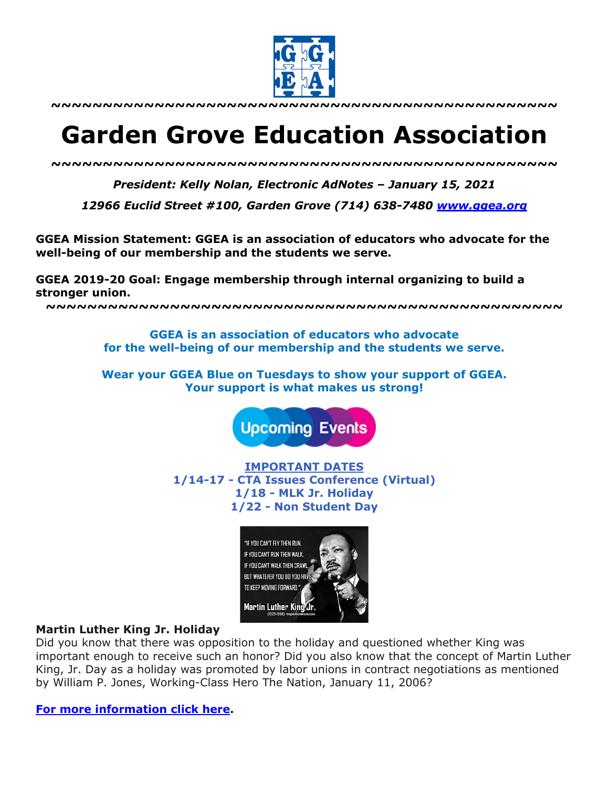

**~~~~~~~~~~~~~~~~~~~~~~~~~~~~~~~~~~~~~~~~~~~~~~~~~**

# **Garden Grove Education Association**

*~~~~~~~~~~~~~~~~~~~~~~~~~~~~~~~~~~~~~~~~~~~~~~~~~*

*President: Kelly Nolan, Electronic AdNotes – January 15, 2021*

*12966 Euclid Street #100, Garden Grove (714) 638-7480 www.ggea.org*

**GGEA Mission Statement: GGEA is an association of educators who advocate for the well-being of our membership and the students we serve.** 

**GGEA 2019-20 Goal: Engage membership through internal organizing to build a stronger union.**

**~~~~~~~~~~~~~~~~~~~~~~~~~~~~~~~~~~~~~~~~~~~~~~~~~~**

**GGEA is an association of educators who advocate for the well-being of our membership and the students we serve.**

**Wear your GGEA Blue on Tuesdays to show your support of GGEA. Your support is what makes us strong!**

**Upcoming Events** 

**IMPORTANT DATES 1/14-17 - CTA Issues Conference (Virtual) 1/18 - MLK Jr. Holiday 1/22 - Non Student Day**



#### **Martin Luther King Jr. Holiday**

Did you know that there was opposition to the holiday and questioned whether King was important enough to receive such an honor? Did you also know that the concept of Martin Luther King, Jr. Day as a holiday was promoted by labor unions in contract negotiations as mentioned by William P. Jones, Working-Class Hero The Nation, January 11, 2006?

**For more information click here.**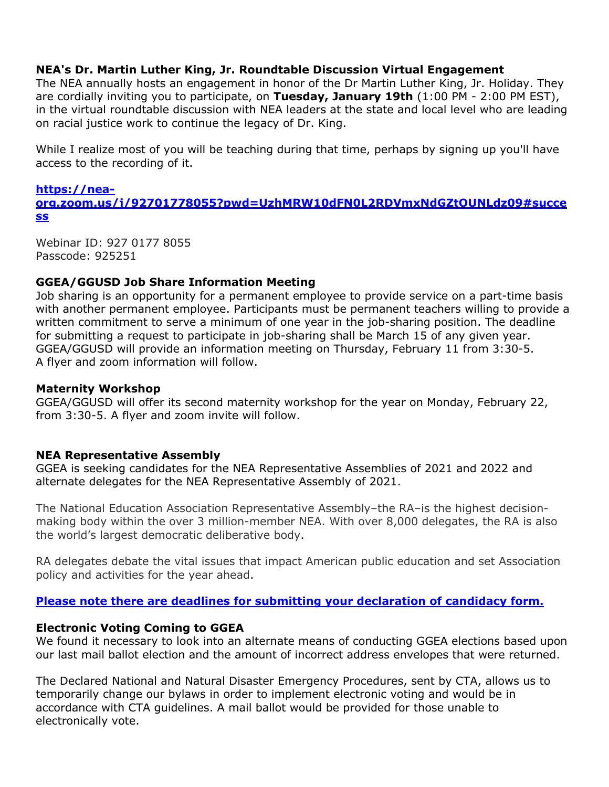## **NEA's Dr. Martin Luther King, Jr. Roundtable Discussion Virtual Engagement**

The NEA annually hosts an engagement in honor of the Dr Martin Luther King, Jr. Holiday. They are cordially inviting you to participate, on **Tuesday, January 19th** (1:00 PM - 2:00 PM EST), in the virtual roundtable discussion with NEA leaders at the state and local level who are leading on racial justice work to continue the legacy of Dr. King.

While I realize most of you will be teaching during that time, perhaps by signing up you'll have access to the recording of it.

#### **https://neaorg.zoom.us/j/92701778055?pwd=UzhMRW10dFN0L2RDVmxNdGZtOUNLdz09#succe ss**

Webinar ID: 927 0177 8055 Passcode: 925251

## **GGEA/GGUSD Job Share Information Meeting**

Job sharing is an opportunity for a permanent employee to provide service on a part-time basis with another permanent employee. Participants must be permanent teachers willing to provide a written commitment to serve a minimum of one year in the job-sharing position. The deadline for submitting a request to participate in job-sharing shall be March 15 of any given year. GGEA/GGUSD will provide an information meeting on Thursday, February 11 from 3:30-5. A flyer and zoom information will follow.

## **Maternity Workshop**

GGEA/GGUSD will offer its second maternity workshop for the year on Monday, February 22, from 3:30-5. A flyer and zoom invite will follow.

## **NEA Representative Assembly**

GGEA is seeking candidates for the NEA Representative Assemblies of 2021 and 2022 and alternate delegates for the NEA Representative Assembly of 2021.

The National Education Association Representative Assembly–the RA–is the highest decisionmaking body within the over 3 million-member NEA. With over 8,000 delegates, the RA is also the world's largest democratic deliberative body.

RA delegates debate the vital issues that impact American public education and set Association policy and activities for the year ahead.

## **Please note there are deadlines for submitting your declaration of candidacy form.**

## **Electronic Voting Coming to GGEA**

We found it necessary to look into an alternate means of conducting GGEA elections based upon our last mail ballot election and the amount of incorrect address envelopes that were returned.

The Declared National and Natural Disaster Emergency Procedures, sent by CTA, allows us to temporarily change our bylaws in order to implement electronic voting and would be in accordance with CTA guidelines. A mail ballot would be provided for those unable to electronically vote.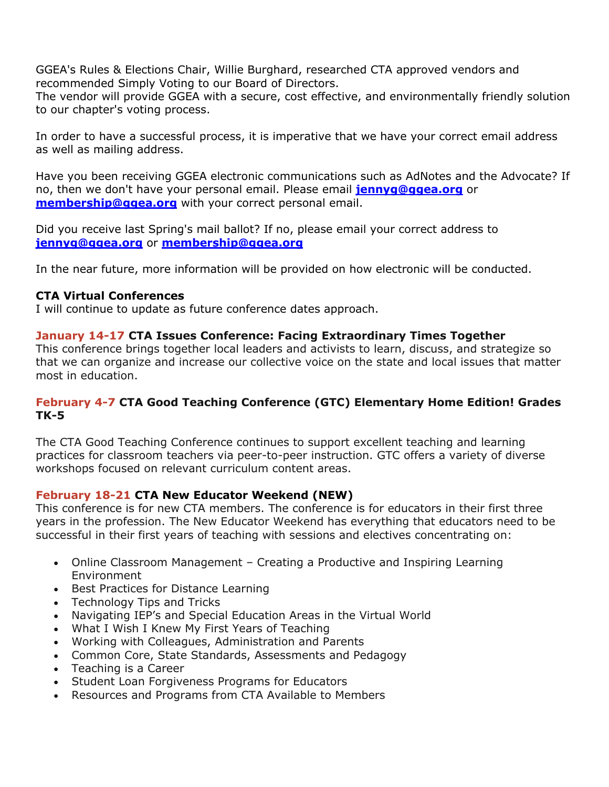GGEA's Rules & Elections Chair, Willie Burghard, researched CTA approved vendors and recommended Simply Voting to our Board of Directors.

The vendor will provide GGEA with a secure, cost effective, and environmentally friendly solution to our chapter's voting process.

In order to have a successful process, it is imperative that we have your correct email address as well as mailing address.

Have you been receiving GGEA electronic communications such as AdNotes and the Advocate? If no, then we don't have your personal email. Please email **jennyg@ggea.org** or **membership@ggea.org** with your correct personal email.

Did you receive last Spring's mail ballot? If no, please email your correct address to **jennyg@ggea.org** or **membership@ggea.org**

In the near future, more information will be provided on how electronic will be conducted.

## **CTA Virtual Conferences**

I will continue to update as future conference dates approach.

## **January 14-17 CTA Issues Conference: Facing Extraordinary Times Together**

This conference brings together local leaders and activists to learn, discuss, and strategize so that we can organize and increase our collective voice on the state and local issues that matter most in education.

## **February 4-7 CTA Good Teaching Conference (GTC) Elementary Home Edition! Grades TK-5**

The CTA Good Teaching Conference continues to support excellent teaching and learning practices for classroom teachers via peer-to-peer instruction. GTC offers a variety of diverse workshops focused on relevant curriculum content areas.

## **February 18-21 CTA New Educator Weekend (NEW)**

This conference is for new CTA members. The conference is for educators in their first three years in the profession. The New Educator Weekend has everything that educators need to be successful in their first years of teaching with sessions and electives concentrating on:

- Online Classroom Management Creating a Productive and Inspiring Learning Environment
- Best Practices for Distance Learning
- Technology Tips and Tricks
- Navigating IEP's and Special Education Areas in the Virtual World
- What I Wish I Knew My First Years of Teaching
- Working with Colleagues, Administration and Parents
- Common Core, State Standards, Assessments and Pedagogy
- Teaching is a Career
- Student Loan Forgiveness Programs for Educators
- Resources and Programs from CTA Available to Members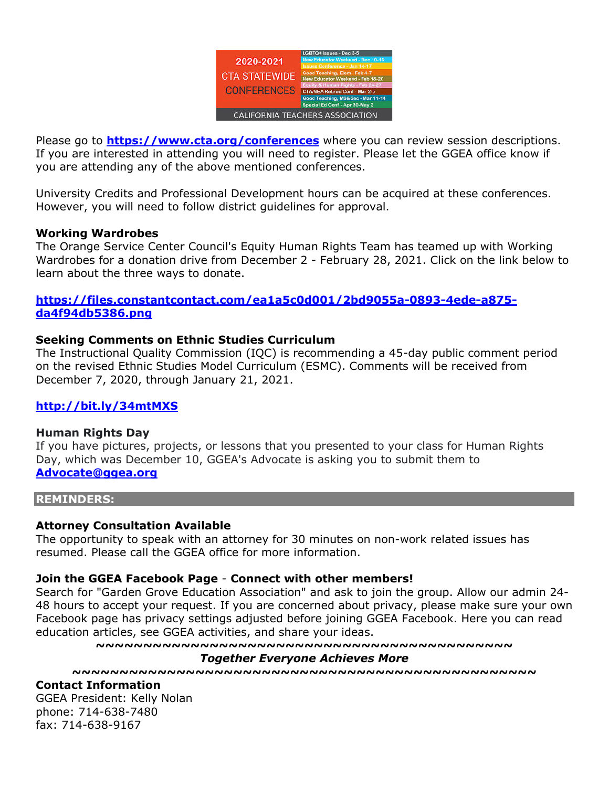

Please go to **https://www.cta.org/conferences** where you can review session descriptions. If you are interested in attending you will need to register. Please let the GGEA office know if you are attending any of the above mentioned conferences.

University Credits and Professional Development hours can be acquired at these conferences. However, you will need to follow district guidelines for approval.

#### **Working Wardrobes**

The Orange Service Center Council's Equity Human Rights Team has teamed up with Working Wardrobes for a donation drive from December 2 - February 28, 2021. Click on the link below to learn about the three ways to donate.

## **https://files.constantcontact.com/ea1a5c0d001/2bd9055a-0893-4ede-a875 da4f94db5386.png**

#### **Seeking Comments on Ethnic Studies Curriculum**

The Instructional Quality Commission (IQC) is recommending a 45-day public comment period on the revised Ethnic Studies Model Curriculum (ESMC). Comments will be received from December 7, 2020, through January 21, 2021.

#### **http://bit.ly/34mtMXS**

#### **Human Rights Day**

If you have pictures, projects, or lessons that you presented to your class for Human Rights Day, which was December 10, GGEA's Advocate is asking you to submit them to **Advocate@ggea.org**

#### **REMINDERS:**

#### **Attorney Consultation Available**

The opportunity to speak with an attorney for 30 minutes on non-work related issues has resumed. Please call the GGEA office for more information.

#### **Join the GGEA Facebook Page** - **Connect with other members!**

Search for "Garden Grove Education Association" and ask to join the group. Allow our admin 24- 48 hours to accept your request. If you are concerned about privacy, please make sure your own Facebook page has privacy settings adjusted before joining GGEA Facebook. Here you can read education articles, see GGEA activities, and share your ideas.

**~~~~~~~~~~~~~~~~~~~~~~~~~~~~~~~~~~~~~~~~~~~~**

#### *Together Everyone Achieves More*

**~~~~~~~~~~~~~~~~~~~~~~~~~~~~~~~~~~~~~~~~~~~~~~~~~**

#### **Contact Information**

GGEA President: Kelly Nolan phone: 714-638-7480 fax: 714-638-9167